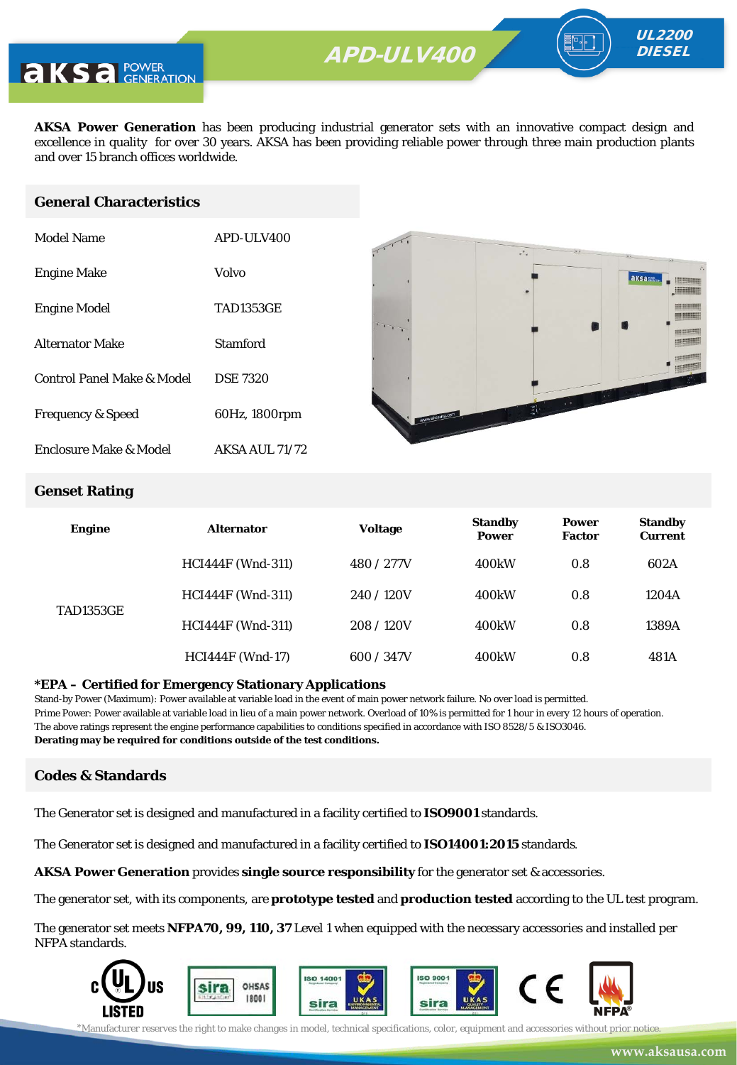

**AKSA Power Generation** has been producing industrial generator sets with an innovative compact design and excellence in quality for over 30 years. AKSA has been providing reliable power through three main production plants and over 15 branch offices worldwide.

#### **General Characteristics**

| <b>Model Name</b>            | APD-ULV400            |
|------------------------------|-----------------------|
| <b>Engine Make</b>           | Volvo                 |
| <b>Engine Model</b>          | <b>TAD1353GE</b>      |
| <b>Alternator Make</b>       | Stamford              |
| Control Panel Make & Model   | <b>DSE 7320</b>       |
| <b>Frequency &amp; Speed</b> | 60Hz, 1800rpm         |
| Enclosure Make & Model       | <b>AKSA AUL 71/72</b> |



UL2200 **DIESEL** 

#### **Genset Rating**

| <b>Engine</b>    | <b>Alternator</b>        | Voltage    | <b>Standby</b><br><b>Power</b> | <b>Power</b><br><b>Factor</b> | <b>Standby</b><br><b>Current</b> |
|------------------|--------------------------|------------|--------------------------------|-------------------------------|----------------------------------|
| <b>TAD1353GE</b> | <b>HCI444F</b> (Wnd-311) | 480 / 277V | 400 <sub>k</sub> W             | 0.8                           | 602A                             |
|                  | <b>HCI444F</b> (Wnd-311) | 240/120V   | 400 <sub>k</sub> W             | 0.8                           | 1204A                            |
|                  | <b>HCI444F</b> (Wnd-311) | 208/120V   | 400 <sub>k</sub> W             | 0.8                           | 1389A                            |
|                  | <b>HCI444F</b> (Wnd-17)  | 600 / 347V | 400 <sub>k</sub> W             | 0.8                           | 481A                             |

#### **\*EPA – Certified for Emergency Stationary Applications**

Stand-by Power (Maximum): Power available at variable load in the event of main power network failure. No over load is permitted. Prime Power: Power available at variable load in lieu of a main power network. Overload of 10% is permitted for 1 hour in every 12 hours of operation. The above ratings represent the engine performance capabilities to conditions specified in accordance with ISO 8528/5 & ISO3046. **Derating may be required for conditions outside of the test conditions.**

#### **Codes & Standards**

The Generator set is designed and manufactured in a facility certified to **ISO9001** standards.

The Generator set is designed and manufactured in a facility certified to **ISO14001:2015** standards.

**AKSA Power Generation** provides **single source responsibility** for the generator set & accessories.

The generator set, with its components, are **prototype tested** and **production tested** according to the UL test program.

The generator set meets **NFPA70, 99, 110, 37** Level 1 when equipped with the necessary accessories and installed per NFPA standards.

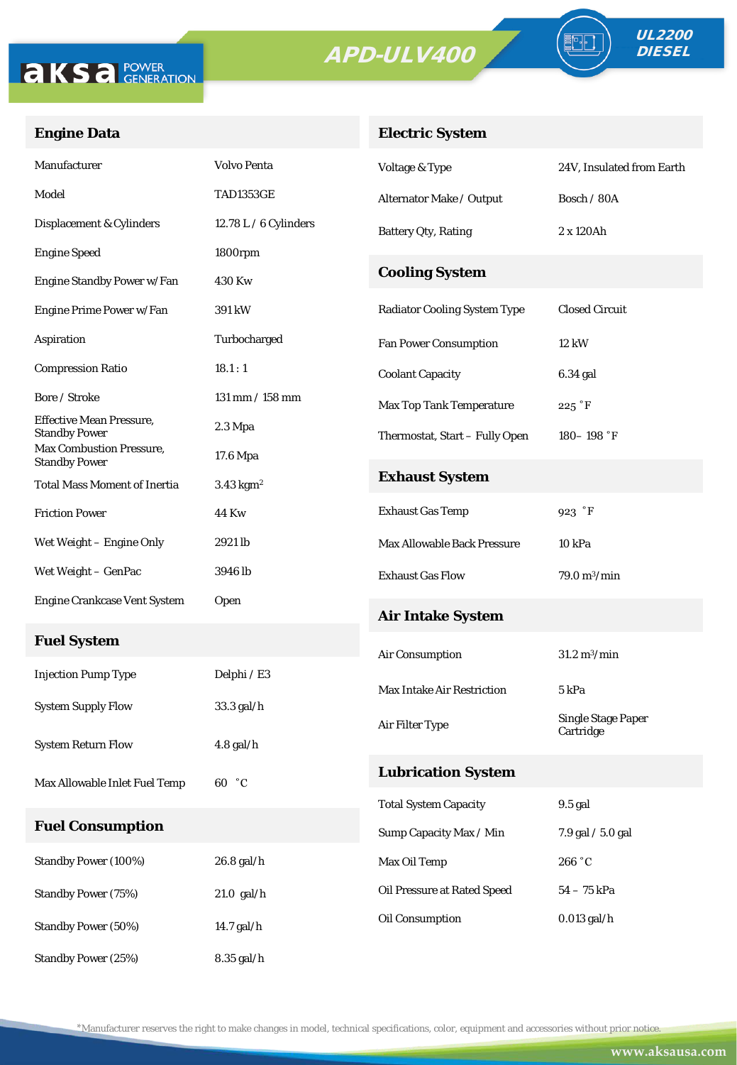

Standby Power (25%) 8.35 gal/h



## **Engine Data**

## **Electric System**

| Manufacturer                                            | <b>Volvo Penta</b>      | Voltage & Type                      | 24V, Insulated from Earth              |  |
|---------------------------------------------------------|-------------------------|-------------------------------------|----------------------------------------|--|
| Model                                                   | <b>TAD1353GE</b>        | Alternator Make / Output            | Bosch / 80A                            |  |
| Displacement & Cylinders                                | 12.78 L $/$ 6 Cylinders | <b>Battery Qty, Rating</b>          | 2 x 120Ah                              |  |
| <b>Engine Speed</b>                                     | 1800rpm                 |                                     |                                        |  |
| Engine Standby Power w/Fan                              | 430 Kw                  | <b>Cooling System</b>               |                                        |  |
| Engine Prime Power w/Fan                                | 391 kW                  | <b>Radiator Cooling System Type</b> | <b>Closed Circuit</b>                  |  |
| Aspiration                                              | Turbocharged            | <b>Fan Power Consumption</b>        | 12 kW                                  |  |
| <b>Compression Ratio</b>                                | 18.1:1                  | <b>Coolant Capacity</b>             | 6.34 gal                               |  |
| Bore / Stroke                                           | $131$ mm $/ 158$ mm     | <b>Max Top Tank Temperature</b>     | $225$ $\degree$ F                      |  |
| <b>Effective Mean Pressure,</b><br><b>Standby Power</b> | $2.3 \mathrm{Mpa}$      | Thermostat, Start - Fully Open      | $180 - 198$ °F                         |  |
| Max Combustion Pressure,<br><b>Standby Power</b>        | 17.6 Mpa                |                                     |                                        |  |
| <b>Total Mass Moment of Inertia</b>                     | $3.43$ kgm <sup>2</sup> | <b>Exhaust System</b>               |                                        |  |
| <b>Friction Power</b>                                   | 44 Kw                   | <b>Exhaust Gas Temp</b>             | 923 °F                                 |  |
| Wet Weight – Engine Only                                | 2921 lb                 | Max Allowable Back Pressure         | 10 <sub>kPa</sub>                      |  |
| Wet Weight – GenPac                                     | 3946 lb                 | <b>Exhaust Gas Flow</b>             | $79.0 \,\mathrm{m}^3/\mathrm{min}$     |  |
| <b>Engine Crankcase Vent System</b>                     | Open                    | <b>Air Intake System</b>            |                                        |  |
| <b>Fuel System</b>                                      |                         |                                     |                                        |  |
| <b>Injection Pump Type</b>                              | Delphi / E3             | Air Consumption                     | $31.2\ \mathrm{m}^3/\mathrm{min}$      |  |
|                                                         |                         | <b>Max Intake Air Restriction</b>   | 5 kPa                                  |  |
| <b>System Supply Flow</b>                               | 33.3 gal/h              | Air Filter Type                     | <b>Single Stage Paper</b><br>Cartridge |  |
| <b>System Return Flow</b>                               | $4.8$ gal/h             |                                     |                                        |  |
| Max Allowable Inlet Fuel Temp                           | 60 °C                   | <b>Lubrication System</b>           |                                        |  |
|                                                         |                         | <b>Total System Capacity</b>        | 9.5 gal                                |  |
| <b>Fuel Consumption</b>                                 |                         | Sump Capacity Max / Min             | 7.9 gal / 5.0 gal                      |  |
| Standby Power (100%)                                    | 26.8 gal/h              | Max Oil Temp                        | 266 °C                                 |  |
| <b>Standby Power (75%)</b>                              | $21.0$ gal/h            | Oil Pressure at Rated Speed         | $54-75$ kPa                            |  |
| Standby Power (50%)                                     | 14.7 gal/h              | Oil Consumption                     | $0.013$ gal/h                          |  |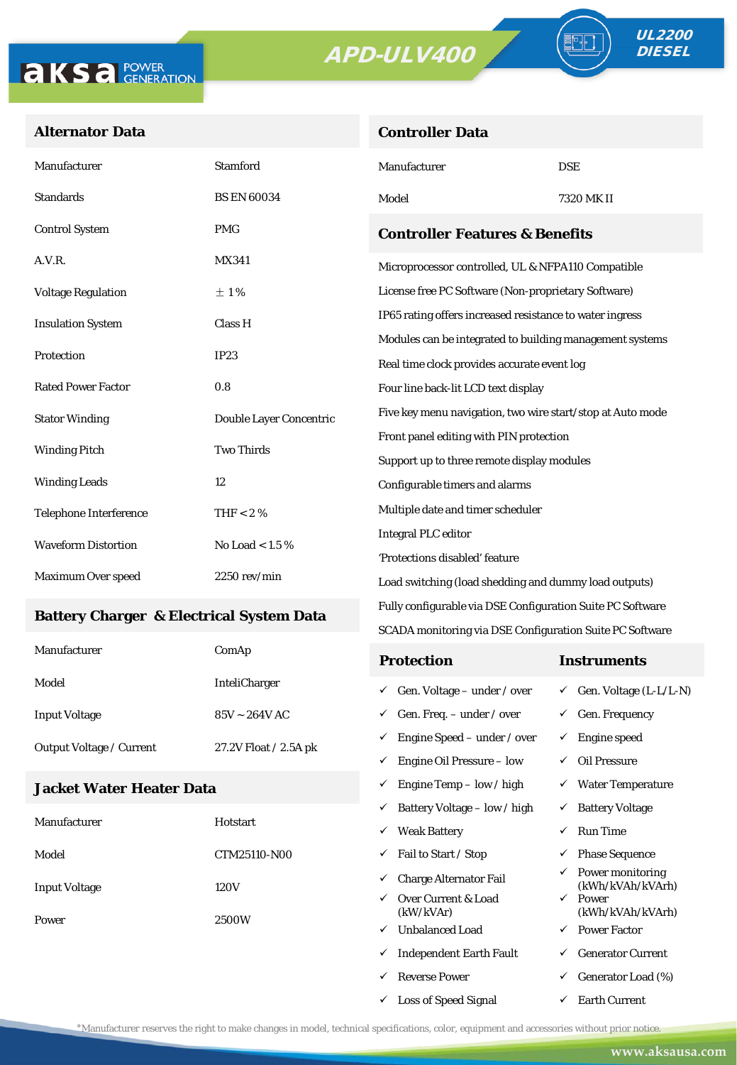**Controller Data**





#### **Alternator Data**

| Manufacturer                  | <b>Stamford</b>         | Manufacturer                                               | <b>DSE</b> |  |  |
|-------------------------------|-------------------------|------------------------------------------------------------|------------|--|--|
| <b>Standards</b>              | <b>BS EN 60034</b>      | Model                                                      | 7320 MK II |  |  |
| <b>Control System</b>         | <b>PMG</b>              | <b>Controller Features &amp; Benefits</b>                  |            |  |  |
| A.V.R.                        | <b>MX341</b>            | Microprocessor controlled, UL & NFPA110 Compatible         |            |  |  |
| <b>Voltage Regulation</b>     | $\pm 1\%$               | License free PC Software (Non-proprietary Software)        |            |  |  |
| <b>Insulation System</b>      | Class H                 | IP65 rating offers increased resistance to water ingress   |            |  |  |
|                               |                         | Modules can be integrated to building management systems   |            |  |  |
| Protection                    | IP23                    | Real time clock provides accurate event log                |            |  |  |
| <b>Rated Power Factor</b>     | 0.8                     | Four line back-lit LCD text display                        |            |  |  |
| <b>Stator Winding</b>         | Double Layer Concentric | Five key menu navigation, two wire start/stop at Auto mode |            |  |  |
| <b>Two Thirds</b>             |                         | Front panel editing with PIN protection                    |            |  |  |
| <b>Winding Pitch</b>          |                         | Support up to three remote display modules                 |            |  |  |
| <b>Winding Leads</b>          | 12                      | Configurable timers and alarms                             |            |  |  |
| <b>Telephone Interference</b> | THF $< 2 \%$            | Multiple date and timer scheduler                          |            |  |  |
| <b>Waveform Distortion</b>    | No Load < $1.5\%$       | <b>Integral PLC editor</b>                                 |            |  |  |
|                               |                         | 'Protections disabled' feature                             |            |  |  |
| Maximum Over speed            | $2250$ rev/min          | Load switching (load shedding and dummy load outputs)      |            |  |  |

#### **Battery Charger & Electrical System Data**

| Manufacturer                    | ComAp                 | <b>Protection</b>                        | Instruments                         |
|---------------------------------|-----------------------|------------------------------------------|-------------------------------------|
| Model                           | <b>InteliCharger</b>  | $\checkmark$ Gen. Voltage – under / over | $\checkmark$ Gen. Voltage (L-L/L-N) |
| <b>Input Voltage</b>            | $85V \sim 264V$ AC    | $\checkmark$ Gen. Freq. – under / over   | $\checkmark$ Gen. Frequency         |
| <b>Output Voltage / Current</b> | 27.2V Float / 2.5A pk | $\checkmark$ Engine Speed – under / over | Engine speed                        |
|                                 |                       | Engine Oil Pressure – low<br>✓           | Oil Pressure                        |

Fully configurable via DSE Configuration Suite PC Software SCADA monitoring via DSE Configuration Suite PC Software

 $\checkmark$  Engine Temp – low / high  $\checkmark$  Water Temperature

 $\checkmark$  Loss of Speed Signal  $\checkmark$  Earth Current

#### **Jacket Water Heater Data**

|                      |              | ✓            | Battery Voltage – low / high     | ✓            | <b>Battery Voltage</b>               |
|----------------------|--------------|--------------|----------------------------------|--------------|--------------------------------------|
| Manufacturer         | Hotstart     | ✓            | <b>Weak Battery</b>              | $\checkmark$ | <b>Run Time</b>                      |
| Model                | CTM25110-N00 | ✓            | Fail to Start / Stop             | $\checkmark$ | <b>Phase Sequence</b>                |
| <b>Input Voltage</b> | 120V         | ✓            | Charge Alternator Fail           | $\checkmark$ | Power monitoring<br>(kWh/kVAh/kVArh) |
|                      |              | $\checkmark$ | Over Current & Load<br>(kW/kVAr) | $\checkmark$ | Power<br>(kWh/kVAh/kVArh)            |
| Power                | 2500W<br>✓   |              | <b>Unbalanced Load</b>           | $\checkmark$ | <b>Power Factor</b>                  |
|                      |              | ✓            | <b>Independent Earth Fault</b>   | ✓            | <b>Generator Current</b>             |
|                      |              | ✓            | <b>Reverse Power</b>             | $\checkmark$ | Generator Load (%)                   |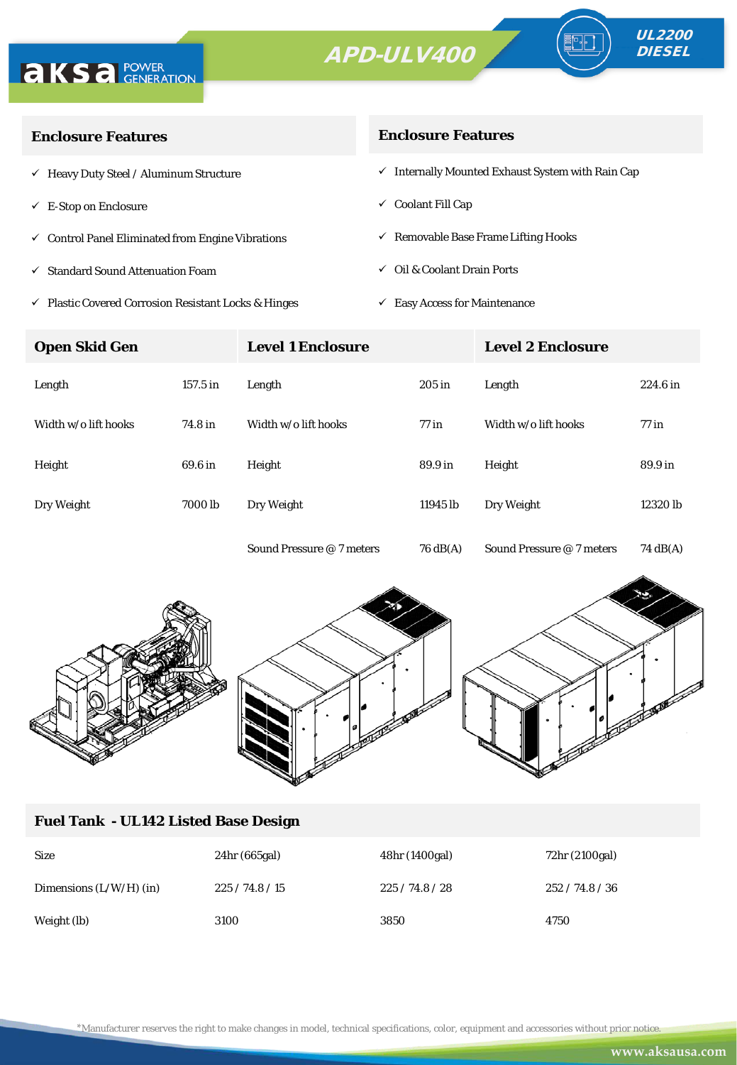



| <b>Enclosure Features</b>                                       | <b>Enclosure Features</b>                                    |
|-----------------------------------------------------------------|--------------------------------------------------------------|
| $\checkmark$ Heavy Duty Steel / Aluminum Structure              | $\checkmark$ Internally Mounted Exhaust System with Rain Cap |
| $\checkmark$ E-Stop on Enclosure                                | $\checkmark$ Coolant Fill Cap                                |
| $\checkmark$ Control Panel Eliminated from Engine Vibrations    | $\checkmark$ Removable Base Frame Lifting Hooks              |
| $\checkmark$ Standard Sound Attenuation Foam                    | $\checkmark$ Oil & Coolant Drain Ports                       |
| $\checkmark$ Plastic Covered Corrosion Resistant Locks & Hinges | <b>Easy Access for Maintenance</b><br>✓                      |

**Open Skid Gen Level 1 Enclosure Level 2 Enclosure** Length 157.5 in Length 205 in Length 224.6 in Width w/o lift hooks 74.8 in Width w/o lift hooks 77 in Width w/o lift hooks 77 in Height 69.6 in Height 89.9 in Height 89.9 in Dry Weight 7000 lb Dry Weight 11945 lb Dry Weight 12320 lb Sound Pressure @ 7 meters 76 dB(A) Sound Pressure @ 7 meters 74 dB(A)



### **Fuel Tank - UL142 Listed Base Design**

| <b>Size</b>               | 24hr (665gal) | 48hr (1400gal) | 72hr (2100gal) |
|---------------------------|---------------|----------------|----------------|
| Dimensions $(L/W/H)$ (in) | 225/74.8/15   | 225/74.8/28    | 252/74.8/36    |
| Weight (lb)               | 3100          | 3850           | 4750           |